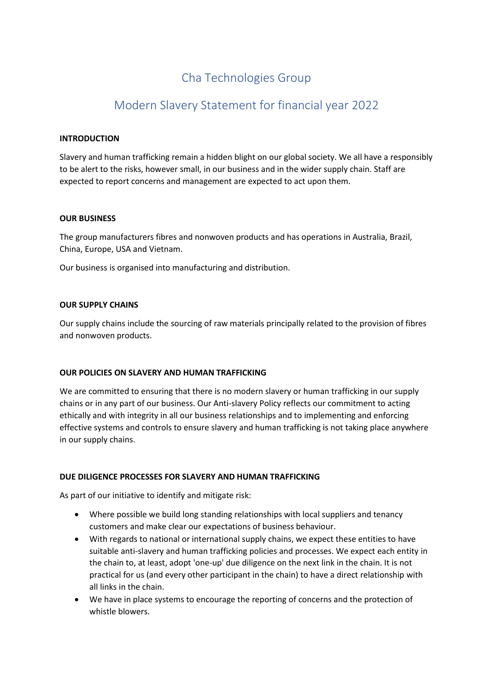# Cha Technologies Group

# Modern Slavery Statement for financial year 2022

## **INTRODUCTION**

Slavery and human trafficking remain a hidden blight on our global society. We all have a responsibly to be alert to the risks, however small, in our business and in the wider supply chain. Staff are expected to report concerns and management are expected to act upon them.

### **OUR BUSINESS**

The group manufacturers fibres and nonwoven products and has operations in Australia, Brazil, China, Europe, USA and Vietnam.

Our business is organised into manufacturing and distribution.

### **OUR SUPPLY CHAINS**

Our supply chains include the sourcing of raw materials principally related to the provision of fibres and nonwoven products.

### **OUR POLICIES ON SLAVERY AND HUMAN TRAFFICKING**

We are committed to ensuring that there is no modern slavery or human trafficking in our supply chains or in any part of our business. Our Anti-slavery Policy reflects our commitment to acting ethically and with integrity in all our business relationships and to implementing and enforcing effective systems and controls to ensure slavery and human trafficking is not taking place anywhere in our supply chains.

### **DUE DILIGENCE PROCESSES FOR SLAVERY AND HUMAN TRAFFICKING**

As part of our initiative to identify and mitigate risk:

- Where possible we build long standing relationships with local suppliers and tenancy customers and make clear our expectations of business behaviour.
- With regards to national or international supply chains, we expect these entities to have suitable anti-slavery and human trafficking policies and processes. We expect each entity in the chain to, at least, adopt 'one-up' due diligence on the next link in the chain. It is not practical for us (and every other participant in the chain) to have a direct relationship with all links in the chain.
- We have in place systems to encourage the reporting of concerns and the protection of whistle blowers.